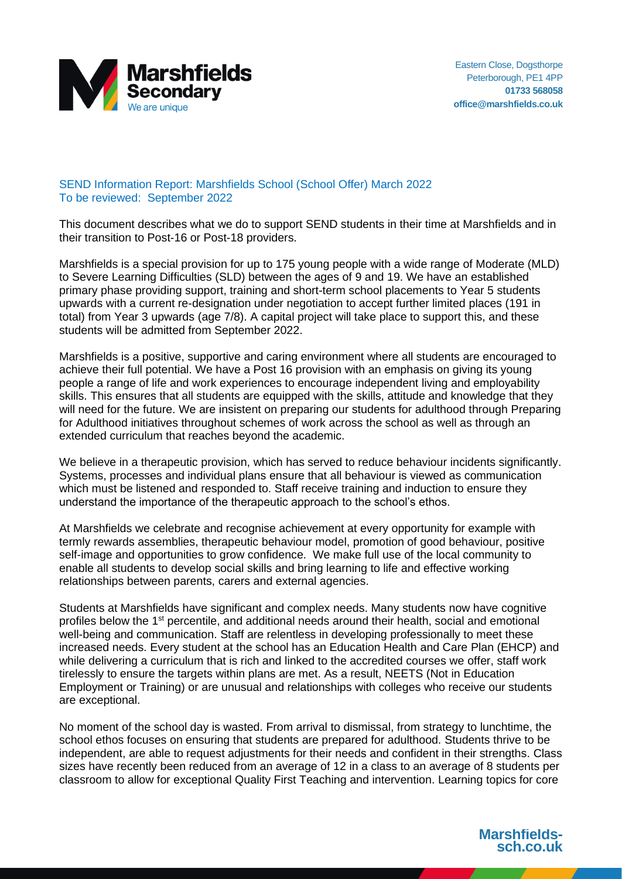

## SEND Information Report: Marshfields School (School Offer) March 2022 To be reviewed: September 2022

This document describes what we do to support SEND students in their time at Marshfields and in their transition to Post-16 or Post-18 providers.

Marshfields is a special provision for up to 175 young people with a wide range of Moderate (MLD) to Severe Learning Difficulties (SLD) between the ages of 9 and 19. We have an established primary phase providing support, training and short-term school placements to Year 5 students upwards with a current re-designation under negotiation to accept further limited places (191 in total) from Year 3 upwards (age 7/8). A capital project will take place to support this, and these students will be admitted from September 2022.

Marshfields is a positive, supportive and caring environment where all students are encouraged to achieve their full potential. We have a Post 16 provision with an emphasis on giving its young people a range of life and work experiences to encourage independent living and employability skills. This ensures that all students are equipped with the skills, attitude and knowledge that they will need for the future. We are insistent on preparing our students for adulthood through Preparing for Adulthood initiatives throughout schemes of work across the school as well as through an extended curriculum that reaches beyond the academic.

We believe in a therapeutic provision, which has served to reduce behaviour incidents significantly. Systems, processes and individual plans ensure that all behaviour is viewed as communication which must be listened and responded to. Staff receive training and induction to ensure they understand the importance of the therapeutic approach to the school's ethos.

At Marshfields we celebrate and recognise achievement at every opportunity for example with termly rewards assemblies, therapeutic behaviour model, promotion of good behaviour, positive self-image and opportunities to grow confidence. We make full use of the local community to enable all students to develop social skills and bring learning to life and effective working relationships between parents, carers and external agencies.

Students at Marshfields have significant and complex needs. Many students now have cognitive profiles below the 1<sup>st</sup> percentile, and additional needs around their health, social and emotional well-being and communication. Staff are relentless in developing professionally to meet these increased needs. Every student at the school has an Education Health and Care Plan (EHCP) and while delivering a curriculum that is rich and linked to the accredited courses we offer, staff work tirelessly to ensure the targets within plans are met. As a result, NEETS (Not in Education Employment or Training) or are unusual and relationships with colleges who receive our students are exceptional.

No moment of the school day is wasted. From arrival to dismissal, from strategy to lunchtime, the school ethos focuses on ensuring that students are prepared for adulthood. Students thrive to be independent, are able to request adjustments for their needs and confident in their strengths. Class sizes have recently been reduced from an average of 12 in a class to an average of 8 students per classroom to allow for exceptional Quality First Teaching and intervention. Learning topics for core

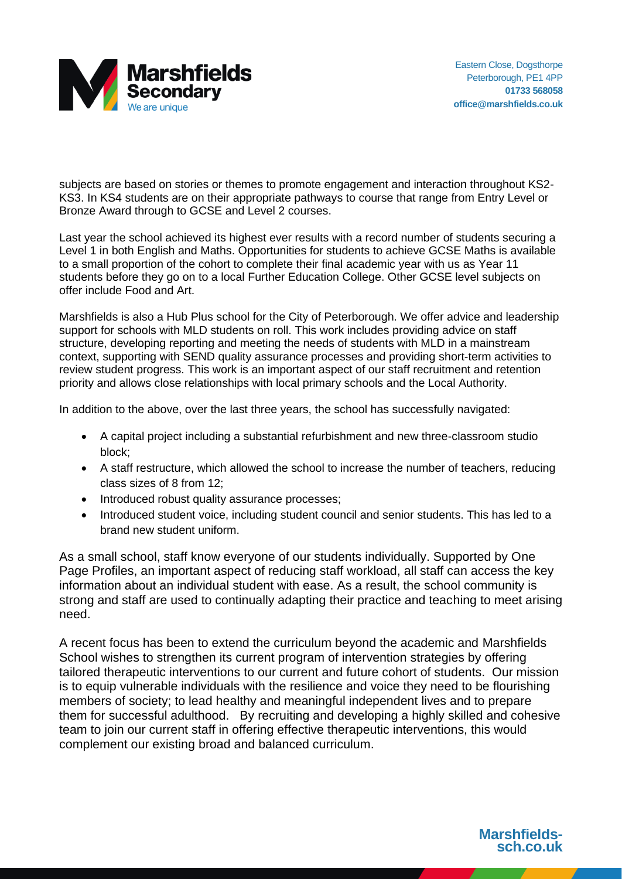

subjects are based on stories or themes to promote engagement and interaction throughout KS2- KS3. In KS4 students are on their appropriate pathways to course that range from Entry Level or Bronze Award through to GCSE and Level 2 courses.

Last year the school achieved its highest ever results with a record number of students securing a Level 1 in both English and Maths. Opportunities for students to achieve GCSE Maths is available to a small proportion of the cohort to complete their final academic year with us as Year 11 students before they go on to a local Further Education College. Other GCSE level subjects on offer include Food and Art.

Marshfields is also a Hub Plus school for the City of Peterborough. We offer advice and leadership support for schools with MLD students on roll. This work includes providing advice on staff structure, developing reporting and meeting the needs of students with MLD in a mainstream context, supporting with SEND quality assurance processes and providing short-term activities to review student progress. This work is an important aspect of our staff recruitment and retention priority and allows close relationships with local primary schools and the Local Authority.

In addition to the above, over the last three years, the school has successfully navigated:

- A capital project including a substantial refurbishment and new three-classroom studio block;
- A staff restructure, which allowed the school to increase the number of teachers, reducing class sizes of 8 from 12;
- Introduced robust quality assurance processes;
- Introduced student voice, including student council and senior students. This has led to a brand new student uniform.

As a small school, staff know everyone of our students individually. Supported by One Page Profiles, an important aspect of reducing staff workload, all staff can access the key information about an individual student with ease. As a result, the school community is strong and staff are used to continually adapting their practice and teaching to meet arising need.

A recent focus has been to extend the curriculum beyond the academic and Marshfields School wishes to strengthen its current program of intervention strategies by offering tailored therapeutic interventions to our current and future cohort of students. Our mission is to equip vulnerable individuals with the resilience and voice they need to be flourishing members of society; to lead healthy and meaningful independent lives and to prepare them for successful adulthood. By recruiting and developing a highly skilled and cohesive team to join our current staff in offering effective therapeutic interventions, this would complement our existing broad and balanced curriculum.

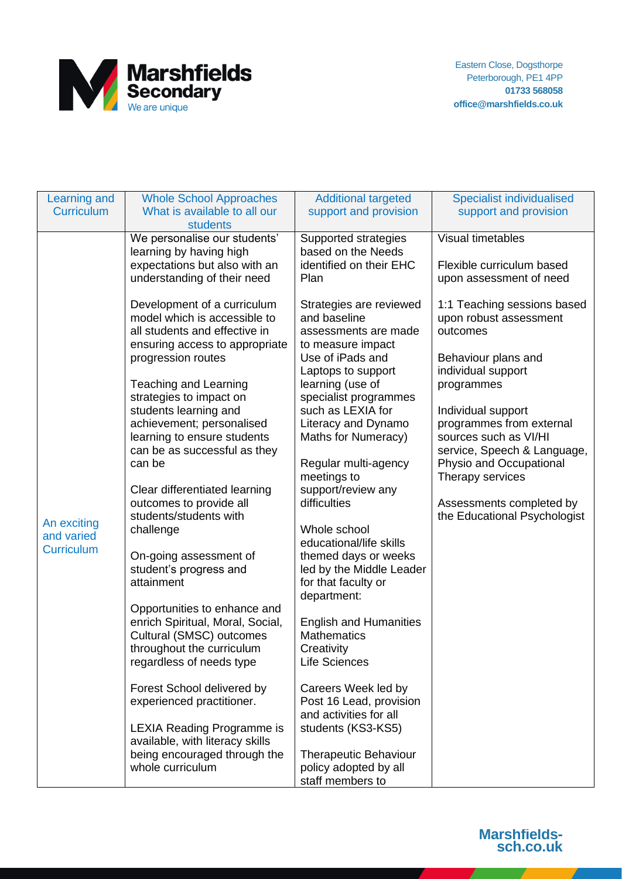

| Learning and                    | <b>Whole School Approaches</b>                                  | <b>Additional targeted</b>                          | <b>Specialist individualised</b>            |
|---------------------------------|-----------------------------------------------------------------|-----------------------------------------------------|---------------------------------------------|
| <b>Curriculum</b>               | What is available to all our                                    | support and provision                               | support and provision                       |
|                                 | students<br>We personalise our students'                        | Supported strategies                                | Visual timetables                           |
|                                 | learning by having high                                         | based on the Needs                                  |                                             |
|                                 | expectations but also with an                                   | identified on their EHC                             | Flexible curriculum based                   |
|                                 | understanding of their need                                     | Plan                                                | upon assessment of need                     |
|                                 | Development of a curriculum                                     | Strategies are reviewed                             | 1:1 Teaching sessions based                 |
|                                 | model which is accessible to                                    | and baseline                                        | upon robust assessment                      |
|                                 | all students and effective in<br>ensuring access to appropriate | assessments are made<br>to measure impact           | outcomes                                    |
|                                 | progression routes                                              | Use of iPads and                                    | Behaviour plans and                         |
|                                 |                                                                 | Laptops to support                                  | individual support                          |
|                                 | <b>Teaching and Learning</b>                                    | learning (use of                                    | programmes                                  |
|                                 | strategies to impact on<br>students learning and                | specialist programmes<br>such as LEXIA for          | Individual support                          |
|                                 | achievement; personalised                                       | Literacy and Dynamo                                 | programmes from external                    |
|                                 | learning to ensure students                                     | Maths for Numeracy)                                 | sources such as VI/HI                       |
|                                 | can be as successful as they                                    |                                                     | service, Speech & Language,                 |
|                                 | can be                                                          | Regular multi-agency<br>meetings to                 | Physio and Occupational<br>Therapy services |
|                                 | Clear differentiated learning                                   | support/review any                                  |                                             |
|                                 | outcomes to provide all                                         | difficulties                                        | Assessments completed by                    |
| An exciting                     | students/students with<br>challenge                             | Whole school                                        | the Educational Psychologist                |
| and varied<br><b>Curriculum</b> |                                                                 | educational/life skills                             |                                             |
|                                 | On-going assessment of                                          | themed days or weeks                                |                                             |
|                                 | student's progress and<br>attainment                            | led by the Middle Leader<br>for that faculty or     |                                             |
|                                 |                                                                 | department:                                         |                                             |
|                                 | Opportunities to enhance and                                    |                                                     |                                             |
|                                 | enrich Spiritual, Moral, Social,<br>Cultural (SMSC) outcomes    | <b>English and Humanities</b><br><b>Mathematics</b> |                                             |
|                                 | throughout the curriculum                                       | Creativity                                          |                                             |
|                                 | regardless of needs type                                        | Life Sciences                                       |                                             |
|                                 |                                                                 |                                                     |                                             |
|                                 | Forest School delivered by<br>experienced practitioner.         | Careers Week led by<br>Post 16 Lead, provision      |                                             |
|                                 |                                                                 | and activities for all                              |                                             |
|                                 | <b>LEXIA Reading Programme is</b>                               | students (KS3-KS5)                                  |                                             |
|                                 | available, with literacy skills<br>being encouraged through the | <b>Therapeutic Behaviour</b>                        |                                             |
|                                 | whole curriculum                                                | policy adopted by all                               |                                             |
|                                 |                                                                 | staff members to                                    |                                             |

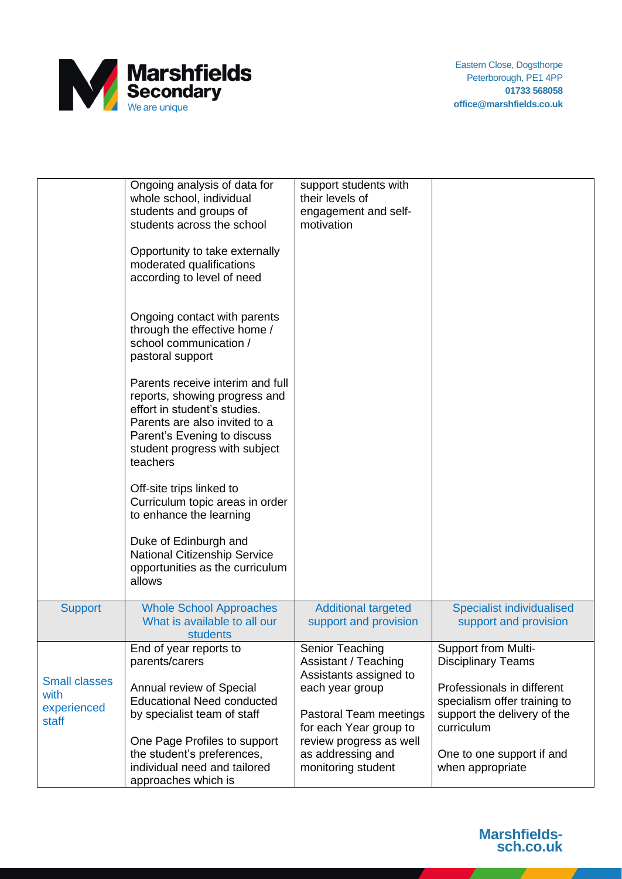

|                                                      | Ongoing analysis of data for<br>whole school, individual<br>students and groups of<br>students across the school<br>Opportunity to take externally<br>moderated qualifications<br>according to level of need   | support students with<br>their levels of<br>engagement and self-<br>motivation                                           |                                                                                                         |
|------------------------------------------------------|----------------------------------------------------------------------------------------------------------------------------------------------------------------------------------------------------------------|--------------------------------------------------------------------------------------------------------------------------|---------------------------------------------------------------------------------------------------------|
|                                                      | Ongoing contact with parents<br>through the effective home /<br>school communication /<br>pastoral support                                                                                                     |                                                                                                                          |                                                                                                         |
|                                                      | Parents receive interim and full<br>reports, showing progress and<br>effort in student's studies.<br>Parents are also invited to a<br>Parent's Evening to discuss<br>student progress with subject<br>teachers |                                                                                                                          |                                                                                                         |
|                                                      | Off-site trips linked to<br>Curriculum topic areas in order<br>to enhance the learning                                                                                                                         |                                                                                                                          |                                                                                                         |
|                                                      | Duke of Edinburgh and<br>National Citizenship Service<br>opportunities as the curriculum<br>allows                                                                                                             |                                                                                                                          |                                                                                                         |
| <b>Support</b>                                       | <b>Whole School Approaches</b><br>What is available to all our<br>students                                                                                                                                     | <b>Additional targeted</b><br>support and provision                                                                      | <b>Specialist individualised</b><br>support and provision                                               |
|                                                      | End of year reports to<br>parents/carers                                                                                                                                                                       | Senior Teaching<br>Assistant / Teaching                                                                                  | Support from Multi-<br><b>Disciplinary Teams</b>                                                        |
| <b>Small classes</b><br>with<br>experienced<br>staff | Annual review of Special<br><b>Educational Need conducted</b><br>by specialist team of staff<br>One Page Profiles to support                                                                                   | Assistants assigned to<br>each year group<br>Pastoral Team meetings<br>for each Year group to<br>review progress as well | Professionals in different<br>specialism offer training to<br>support the delivery of the<br>curriculum |
|                                                      | the student's preferences,<br>individual need and tailored<br>approaches which is                                                                                                                              | as addressing and<br>monitoring student                                                                                  | One to one support if and<br>when appropriate                                                           |



**Contract**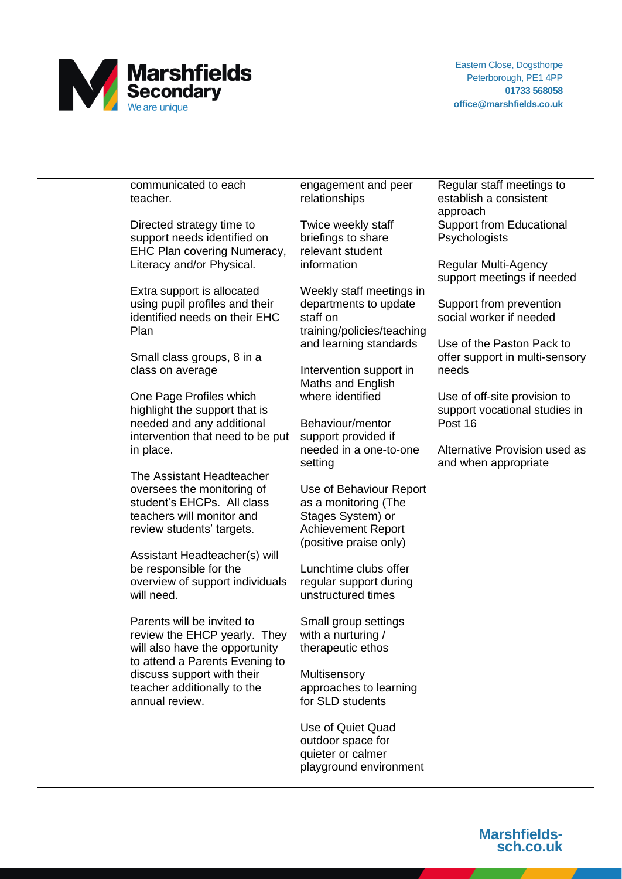

| communicated to each             | engagement and peer        | Regular staff meetings to       |
|----------------------------------|----------------------------|---------------------------------|
| teacher.                         | relationships              | establish a consistent          |
|                                  |                            | approach                        |
| Directed strategy time to        | Twice weekly staff         | <b>Support from Educational</b> |
| support needs identified on      | briefings to share         | Psychologists                   |
|                                  |                            |                                 |
| EHC Plan covering Numeracy,      | relevant student           |                                 |
| Literacy and/or Physical.        | information                | <b>Regular Multi-Agency</b>     |
|                                  |                            | support meetings if needed      |
| Extra support is allocated       | Weekly staff meetings in   |                                 |
| using pupil profiles and their   | departments to update      | Support from prevention         |
| identified needs on their EHC    | staff on                   | social worker if needed         |
| Plan                             | training/policies/teaching |                                 |
|                                  | and learning standards     | Use of the Paston Pack to       |
| Small class groups, 8 in a       |                            | offer support in multi-sensory  |
| class on average                 |                            | needs                           |
|                                  | Intervention support in    |                                 |
|                                  | Maths and English          |                                 |
| One Page Profiles which          | where identified           | Use of off-site provision to    |
| highlight the support that is    |                            | support vocational studies in   |
| needed and any additional        | Behaviour/mentor           | Post 16                         |
| intervention that need to be put | support provided if        |                                 |
| in place.                        | needed in a one-to-one     | Alternative Provision used as   |
|                                  | setting                    | and when appropriate            |
| The Assistant Headteacher        |                            |                                 |
| oversees the monitoring of       | Use of Behaviour Report    |                                 |
| student's EHCPs. All class       | as a monitoring (The       |                                 |
| teachers will monitor and        |                            |                                 |
|                                  | Stages System) or          |                                 |
| review students' targets.        | Achievement Report         |                                 |
|                                  | (positive praise only)     |                                 |
| Assistant Headteacher(s) will    |                            |                                 |
| be responsible for the           | Lunchtime clubs offer      |                                 |
| overview of support individuals  | regular support during     |                                 |
| will need.                       | unstructured times         |                                 |
|                                  |                            |                                 |
| Parents will be invited to       | Small group settings       |                                 |
| review the EHCP yearly. They     | with a nurturing /         |                                 |
| will also have the opportunity   | therapeutic ethos          |                                 |
| to attend a Parents Evening to   |                            |                                 |
|                                  |                            |                                 |
| discuss support with their       | Multisensory               |                                 |
| teacher additionally to the      | approaches to learning     |                                 |
| annual review.                   | for SLD students           |                                 |
|                                  |                            |                                 |
|                                  | Use of Quiet Quad          |                                 |
|                                  | outdoor space for          |                                 |
|                                  | quieter or calmer          |                                 |
|                                  | playground environment     |                                 |
|                                  |                            |                                 |
|                                  |                            |                                 |

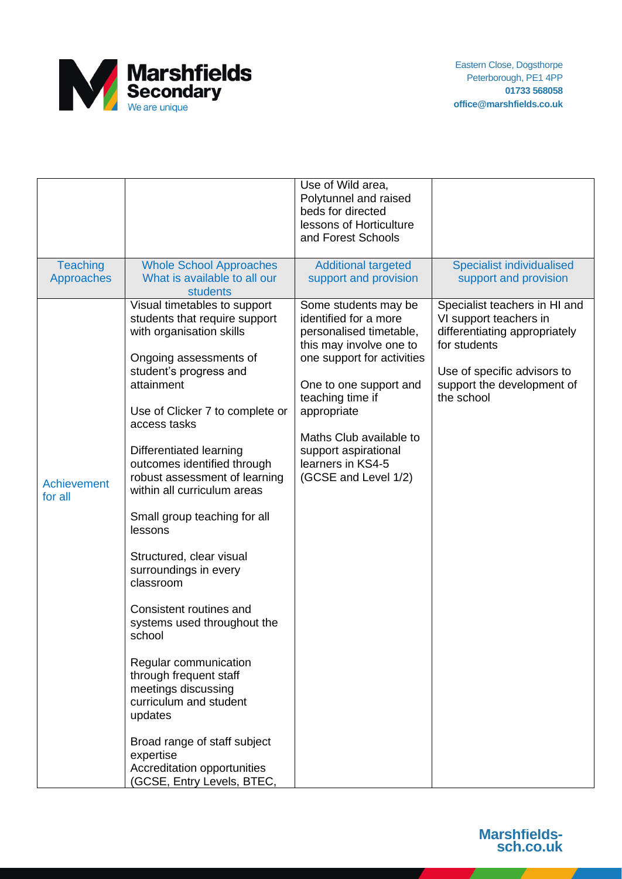

|                               |                                                                                                                                                                                                                                                                                                                                                                                                                                                                                                                                                                                                                                                                                                                                                    | Use of Wild area,<br>Polytunnel and raised<br>beds for directed<br>lessons of Horticulture<br>and Forest Schools                                                                                                                                                                               |                                                                                                                                                                                     |
|-------------------------------|----------------------------------------------------------------------------------------------------------------------------------------------------------------------------------------------------------------------------------------------------------------------------------------------------------------------------------------------------------------------------------------------------------------------------------------------------------------------------------------------------------------------------------------------------------------------------------------------------------------------------------------------------------------------------------------------------------------------------------------------------|------------------------------------------------------------------------------------------------------------------------------------------------------------------------------------------------------------------------------------------------------------------------------------------------|-------------------------------------------------------------------------------------------------------------------------------------------------------------------------------------|
| <b>Teaching</b><br>Approaches | <b>Whole School Approaches</b><br>What is available to all our<br>students                                                                                                                                                                                                                                                                                                                                                                                                                                                                                                                                                                                                                                                                         | <b>Additional targeted</b><br>support and provision                                                                                                                                                                                                                                            | <b>Specialist individualised</b><br>support and provision                                                                                                                           |
| <b>Achievement</b><br>for all | Visual timetables to support<br>students that require support<br>with organisation skills<br>Ongoing assessments of<br>student's progress and<br>attainment<br>Use of Clicker 7 to complete or<br>access tasks<br>Differentiated learning<br>outcomes identified through<br>robust assessment of learning<br>within all curriculum areas<br>Small group teaching for all<br>lessons<br>Structured, clear visual<br>surroundings in every<br>classroom<br>Consistent routines and<br>systems used throughout the<br>school<br>Regular communication<br>through frequent staff<br>meetings discussing<br>curriculum and student<br>updates<br>Broad range of staff subject<br>expertise<br>Accreditation opportunities<br>(GCSE, Entry Levels, BTEC, | Some students may be<br>identified for a more<br>personalised timetable,<br>this may involve one to<br>one support for activities<br>One to one support and<br>teaching time if<br>appropriate<br>Maths Club available to<br>support aspirational<br>learners in KS4-5<br>(GCSE and Level 1/2) | Specialist teachers in HI and<br>VI support teachers in<br>differentiating appropriately<br>for students<br>Use of specific advisors to<br>support the development of<br>the school |

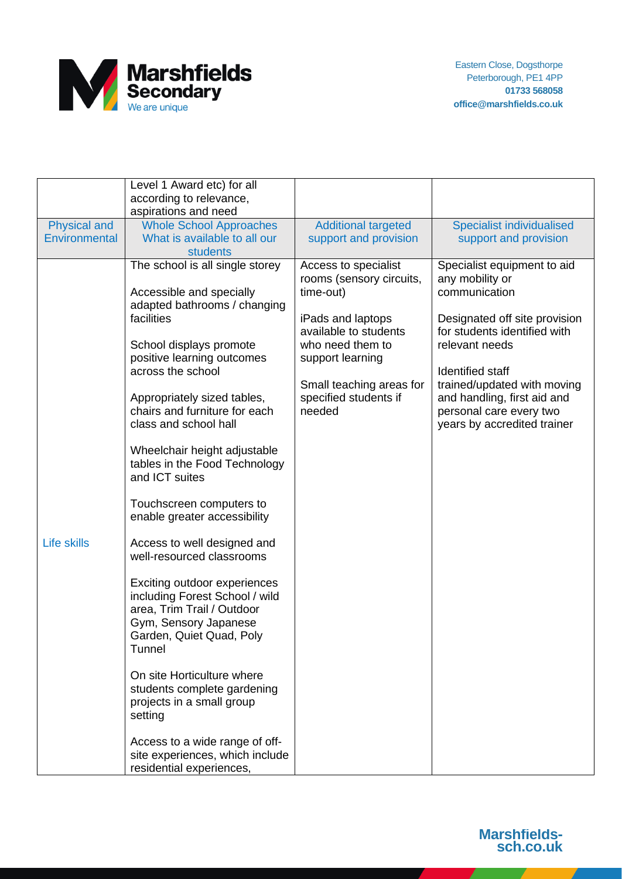

|                      | Level 1 Award etc) for all<br>according to relevance,<br>aspirations and need                                                                                                                                                                                                                                                                                                                                                                                                                                                                                                                                                                                                            |                                                                                                                                                                                                                    |                                                                                                                                                                                                                                                                                                       |
|----------------------|------------------------------------------------------------------------------------------------------------------------------------------------------------------------------------------------------------------------------------------------------------------------------------------------------------------------------------------------------------------------------------------------------------------------------------------------------------------------------------------------------------------------------------------------------------------------------------------------------------------------------------------------------------------------------------------|--------------------------------------------------------------------------------------------------------------------------------------------------------------------------------------------------------------------|-------------------------------------------------------------------------------------------------------------------------------------------------------------------------------------------------------------------------------------------------------------------------------------------------------|
| <b>Physical and</b>  | <b>Whole School Approaches</b>                                                                                                                                                                                                                                                                                                                                                                                                                                                                                                                                                                                                                                                           | <b>Additional targeted</b>                                                                                                                                                                                         | <b>Specialist individualised</b>                                                                                                                                                                                                                                                                      |
| <b>Environmental</b> | What is available to all our<br>students                                                                                                                                                                                                                                                                                                                                                                                                                                                                                                                                                                                                                                                 | support and provision                                                                                                                                                                                              | support and provision                                                                                                                                                                                                                                                                                 |
| <b>Life skills</b>   | The school is all single storey<br>Accessible and specially<br>adapted bathrooms / changing<br>facilities<br>School displays promote<br>positive learning outcomes<br>across the school<br>Appropriately sized tables,<br>chairs and furniture for each<br>class and school hall<br>Wheelchair height adjustable<br>tables in the Food Technology<br>and ICT suites<br>Touchscreen computers to<br>enable greater accessibility<br>Access to well designed and<br>well-resourced classrooms<br>Exciting outdoor experiences<br>including Forest School / wild<br>area, Trim Trail / Outdoor<br>Gym, Sensory Japanese<br>Garden, Quiet Quad, Poly<br>Tunnel<br>On site Horticulture where | Access to specialist<br>rooms (sensory circuits,<br>time-out)<br>iPads and laptops<br>available to students<br>who need them to<br>support learning<br>Small teaching areas for<br>specified students if<br>needed | Specialist equipment to aid<br>any mobility or<br>communication<br>Designated off site provision<br>for students identified with<br>relevant needs<br><b>Identified staff</b><br>trained/updated with moving<br>and handling, first aid and<br>personal care every two<br>years by accredited trainer |
|                      | students complete gardening<br>projects in a small group<br>setting                                                                                                                                                                                                                                                                                                                                                                                                                                                                                                                                                                                                                      |                                                                                                                                                                                                                    |                                                                                                                                                                                                                                                                                                       |
|                      | Access to a wide range of off-<br>site experiences, which include                                                                                                                                                                                                                                                                                                                                                                                                                                                                                                                                                                                                                        |                                                                                                                                                                                                                    |                                                                                                                                                                                                                                                                                                       |
|                      | residential experiences,                                                                                                                                                                                                                                                                                                                                                                                                                                                                                                                                                                                                                                                                 |                                                                                                                                                                                                                    |                                                                                                                                                                                                                                                                                                       |

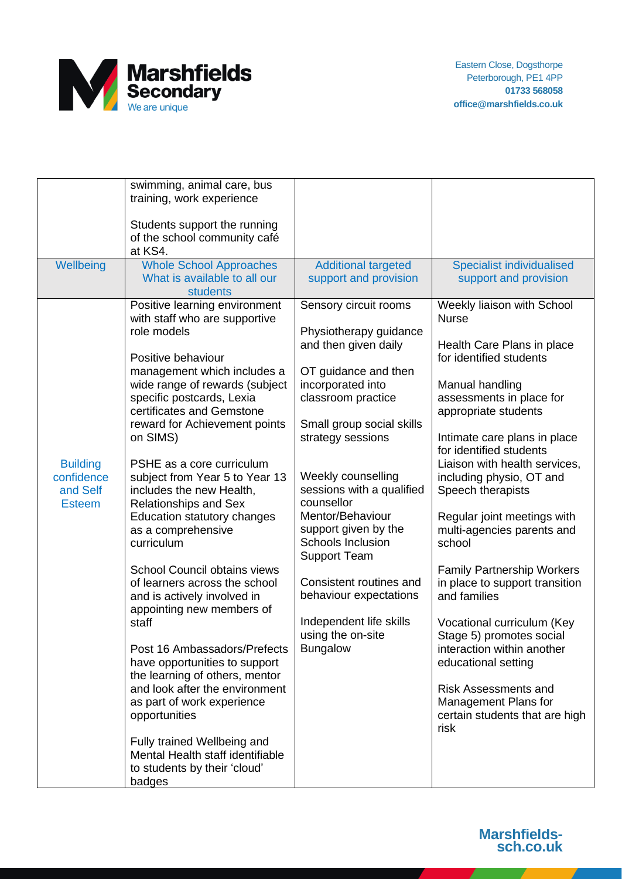

|                 | swimming, animal care, bus          |                            |                                                        |
|-----------------|-------------------------------------|----------------------------|--------------------------------------------------------|
|                 | training, work experience           |                            |                                                        |
|                 |                                     |                            |                                                        |
|                 | Students support the running        |                            |                                                        |
|                 | of the school community café        |                            |                                                        |
|                 | at KS4.                             |                            |                                                        |
| Wellbeing       | <b>Whole School Approaches</b>      | <b>Additional targeted</b> | <b>Specialist individualised</b>                       |
|                 | What is available to all our        | support and provision      | support and provision                                  |
|                 | students                            |                            |                                                        |
|                 | Positive learning environment       | Sensory circuit rooms      | Weekly liaison with School                             |
|                 | with staff who are supportive       |                            | <b>Nurse</b>                                           |
|                 | role models                         | Physiotherapy guidance     |                                                        |
|                 |                                     | and then given daily       | Health Care Plans in place                             |
|                 | Positive behaviour                  |                            | for identified students                                |
|                 | management which includes a         | OT guidance and then       |                                                        |
|                 | wide range of rewards (subject      | incorporated into          | Manual handling                                        |
|                 | specific postcards, Lexia           | classroom practice         | assessments in place for                               |
|                 | certificates and Gemstone           |                            | appropriate students                                   |
|                 | reward for Achievement points       | Small group social skills  |                                                        |
|                 | on SIMS)                            | strategy sessions          | Intimate care plans in place                           |
|                 |                                     |                            | for identified students                                |
| <b>Building</b> | PSHE as a core curriculum           |                            | Liaison with health services,                          |
| confidence      | subject from Year 5 to Year 13      | Weekly counselling         | including physio, OT and                               |
| and Self        | includes the new Health,            | sessions with a qualified  | Speech therapists                                      |
| <b>Esteem</b>   | <b>Relationships and Sex</b>        | counsellor                 |                                                        |
|                 | Education statutory changes         | Mentor/Behaviour           | Regular joint meetings with                            |
|                 | as a comprehensive                  | support given by the       | multi-agencies parents and                             |
|                 | curriculum                          | Schools Inclusion          | school                                                 |
|                 |                                     | <b>Support Team</b>        |                                                        |
|                 | <b>School Council obtains views</b> |                            | <b>Family Partnership Workers</b>                      |
|                 | of learners across the school       | Consistent routines and    | in place to support transition                         |
|                 |                                     | behaviour expectations     | and families                                           |
|                 | and is actively involved in         |                            |                                                        |
|                 | appointing new members of<br>staff  | Independent life skills    |                                                        |
|                 |                                     | using the on-site          | Vocational curriculum (Key                             |
|                 | Post 16 Ambassadors/Prefects        | <b>Bungalow</b>            | Stage 5) promotes social<br>interaction within another |
|                 |                                     |                            |                                                        |
|                 | have opportunities to support       |                            | educational setting                                    |
|                 | the learning of others, mentor      |                            |                                                        |
|                 | and look after the environment      |                            | <b>Risk Assessments and</b>                            |
|                 | as part of work experience          |                            | Management Plans for                                   |
|                 | opportunities                       |                            | certain students that are high                         |
|                 |                                     |                            | risk                                                   |
|                 | Fully trained Wellbeing and         |                            |                                                        |
|                 | Mental Health staff identifiable    |                            |                                                        |
|                 | to students by their 'cloud'        |                            |                                                        |
|                 | badges                              |                            |                                                        |

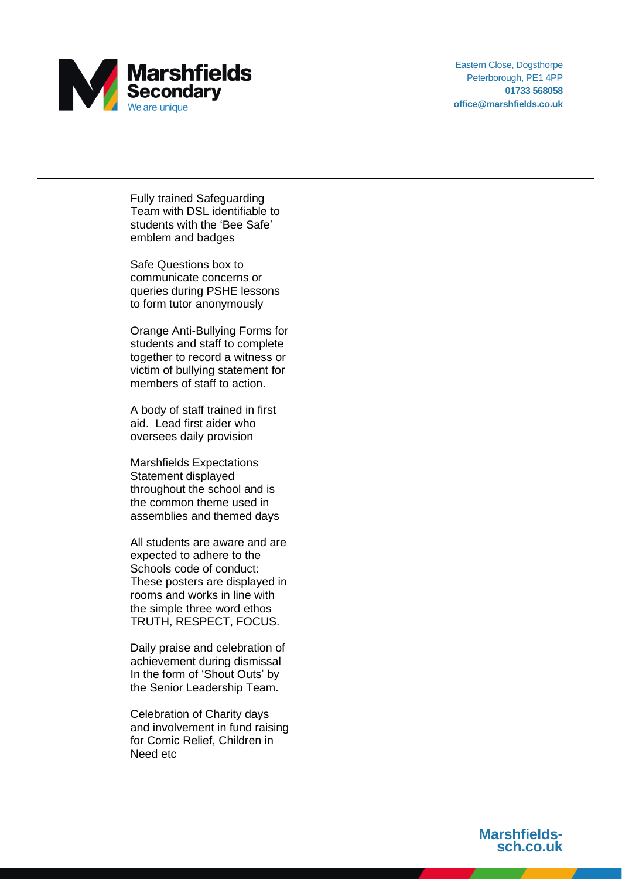

Eastern Close, Dogsthorpe Peterborough, PE1 4PP **01733 568058 office@marshfields.co.uk**

| <b>Fully trained Safeguarding</b><br>Team with DSL identifiable to<br>students with the 'Bee Safe'<br>emblem and badges                                                                                            |  |
|--------------------------------------------------------------------------------------------------------------------------------------------------------------------------------------------------------------------|--|
| Safe Questions box to<br>communicate concerns or<br>queries during PSHE lessons<br>to form tutor anonymously                                                                                                       |  |
| Orange Anti-Bullying Forms for<br>students and staff to complete<br>together to record a witness or<br>victim of bullying statement for<br>members of staff to action.                                             |  |
| A body of staff trained in first<br>aid. Lead first aider who<br>oversees daily provision                                                                                                                          |  |
| <b>Marshfields Expectations</b><br>Statement displayed<br>throughout the school and is<br>the common theme used in<br>assemblies and themed days                                                                   |  |
| All students are aware and are<br>expected to adhere to the<br>Schools code of conduct:<br>These posters are displayed in<br>rooms and works in line with<br>the simple three word ethos<br>TRUTH, RESPECT, FOCUS. |  |
| Daily praise and celebration of<br>achievement during dismissal<br>In the form of 'Shout Outs' by<br>the Senior Leadership Team.                                                                                   |  |
| Celebration of Charity days<br>and involvement in fund raising<br>for Comic Relief, Children in<br>Need etc                                                                                                        |  |
|                                                                                                                                                                                                                    |  |

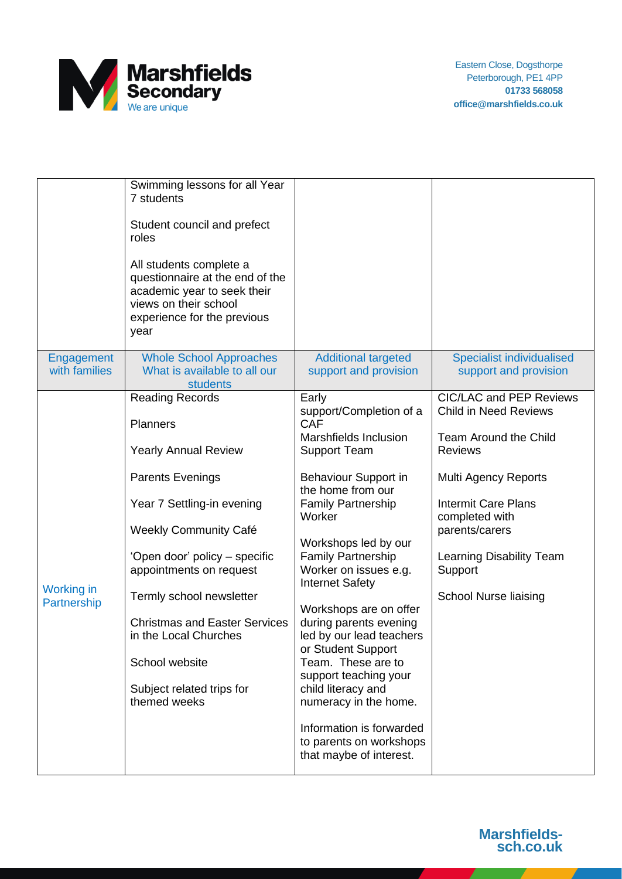

| roles<br>year                    | Student council and prefect<br>All students complete a<br>questionnaire at the end of the<br>academic year to seek their<br>views on their school<br>experience for the previous                                                                                                                                                                                                          |                                                                                                                                                                                                                                                                                                                                                                                                                                                                                                                                                                                  |                                                                                                                                                                                                                                                                            |
|----------------------------------|-------------------------------------------------------------------------------------------------------------------------------------------------------------------------------------------------------------------------------------------------------------------------------------------------------------------------------------------------------------------------------------------|----------------------------------------------------------------------------------------------------------------------------------------------------------------------------------------------------------------------------------------------------------------------------------------------------------------------------------------------------------------------------------------------------------------------------------------------------------------------------------------------------------------------------------------------------------------------------------|----------------------------------------------------------------------------------------------------------------------------------------------------------------------------------------------------------------------------------------------------------------------------|
| Engagement<br>with families      | <b>Whole School Approaches</b><br>What is available to all our<br><b>students</b>                                                                                                                                                                                                                                                                                                         | <b>Additional targeted</b><br>support and provision                                                                                                                                                                                                                                                                                                                                                                                                                                                                                                                              | <b>Specialist individualised</b><br>support and provision                                                                                                                                                                                                                  |
| <b>Working in</b><br>Partnership | <b>Reading Records</b><br><b>Planners</b><br><b>Yearly Annual Review</b><br><b>Parents Evenings</b><br>Year 7 Settling-in evening<br><b>Weekly Community Café</b><br>'Open door' policy - specific<br>appointments on request<br>Termly school newsletter<br><b>Christmas and Easter Services</b><br>in the Local Churches<br>School website<br>Subject related trips for<br>themed weeks | Early<br>support/Completion of a<br><b>CAF</b><br>Marshfields Inclusion<br><b>Support Team</b><br>Behaviour Support in<br>the home from our<br><b>Family Partnership</b><br>Worker<br>Workshops led by our<br><b>Family Partnership</b><br>Worker on issues e.g.<br><b>Internet Safety</b><br>Workshops are on offer<br>during parents evening<br>led by our lead teachers<br>or Student Support<br>Team. These are to<br>support teaching your<br>child literacy and<br>numeracy in the home.<br>Information is forwarded<br>to parents on workshops<br>that maybe of interest. | CIC/LAC and PEP Reviews<br><b>Child in Need Reviews</b><br><b>Team Around the Child</b><br><b>Reviews</b><br>Multi Agency Reports<br><b>Intermit Care Plans</b><br>completed with<br>parents/carers<br>Learning Disability Team<br>Support<br><b>School Nurse liaising</b> |

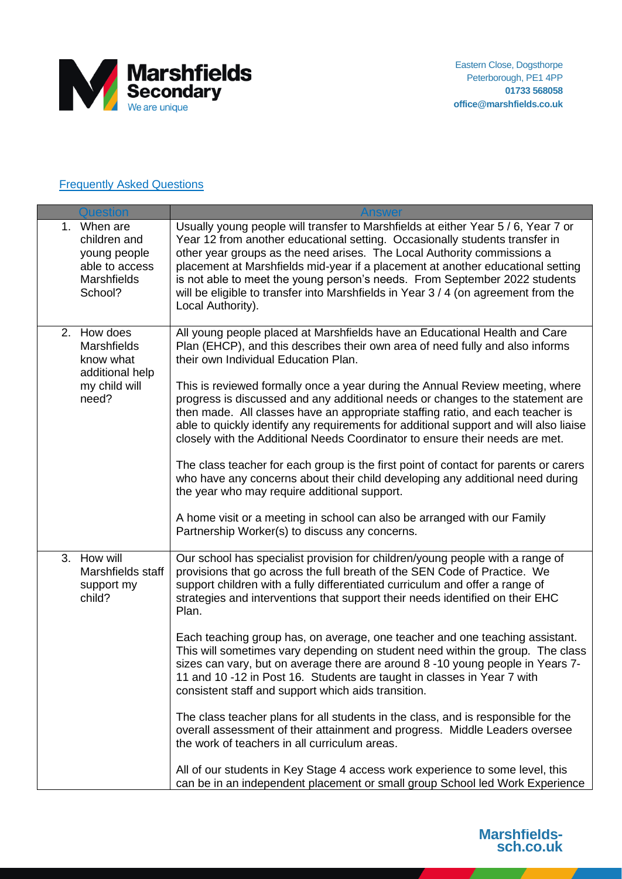

## **Frequently Asked Questions**

| <b>Question</b>                                                                         |                                                                                                                                                                                                                                                                                                                                                                                                                                                                                                                                                                                                                                                                                                                                                                                                                                                                                                                                        |
|-----------------------------------------------------------------------------------------|----------------------------------------------------------------------------------------------------------------------------------------------------------------------------------------------------------------------------------------------------------------------------------------------------------------------------------------------------------------------------------------------------------------------------------------------------------------------------------------------------------------------------------------------------------------------------------------------------------------------------------------------------------------------------------------------------------------------------------------------------------------------------------------------------------------------------------------------------------------------------------------------------------------------------------------|
| 1. When are<br>children and<br>young people<br>able to access<br>Marshfields<br>School? | Usually young people will transfer to Marshfields at either Year 5 / 6, Year 7 or<br>Year 12 from another educational setting. Occasionally students transfer in<br>other year groups as the need arises. The Local Authority commissions a<br>placement at Marshfields mid-year if a placement at another educational setting<br>is not able to meet the young person's needs. From September 2022 students<br>will be eligible to transfer into Marshfields in Year 3 / 4 (on agreement from the<br>Local Authority).                                                                                                                                                                                                                                                                                                                                                                                                                |
| 2. How does<br>Marshfields<br>know what<br>additional help<br>my child will<br>need?    | All young people placed at Marshfields have an Educational Health and Care<br>Plan (EHCP), and this describes their own area of need fully and also informs<br>their own Individual Education Plan.<br>This is reviewed formally once a year during the Annual Review meeting, where<br>progress is discussed and any additional needs or changes to the statement are<br>then made. All classes have an appropriate staffing ratio, and each teacher is<br>able to quickly identify any requirements for additional support and will also liaise<br>closely with the Additional Needs Coordinator to ensure their needs are met.<br>The class teacher for each group is the first point of contact for parents or carers<br>who have any concerns about their child developing any additional need during<br>the year who may require additional support.<br>A home visit or a meeting in school can also be arranged with our Family |
|                                                                                         | Partnership Worker(s) to discuss any concerns.                                                                                                                                                                                                                                                                                                                                                                                                                                                                                                                                                                                                                                                                                                                                                                                                                                                                                         |
| 3. How will<br>Marshfields staff<br>support my<br>child?                                | Our school has specialist provision for children/young people with a range of<br>provisions that go across the full breath of the SEN Code of Practice. We<br>support children with a fully differentiated curriculum and offer a range of<br>strategies and interventions that support their needs identified on their EHC<br>Plan.                                                                                                                                                                                                                                                                                                                                                                                                                                                                                                                                                                                                   |
|                                                                                         | Each teaching group has, on average, one teacher and one teaching assistant.<br>This will sometimes vary depending on student need within the group. The class<br>sizes can vary, but on average there are around 8 -10 young people in Years 7-<br>11 and 10 -12 in Post 16. Students are taught in classes in Year 7 with<br>consistent staff and support which aids transition.                                                                                                                                                                                                                                                                                                                                                                                                                                                                                                                                                     |
|                                                                                         | The class teacher plans for all students in the class, and is responsible for the<br>overall assessment of their attainment and progress. Middle Leaders oversee<br>the work of teachers in all curriculum areas.                                                                                                                                                                                                                                                                                                                                                                                                                                                                                                                                                                                                                                                                                                                      |
|                                                                                         | All of our students in Key Stage 4 access work experience to some level, this<br>can be in an independent placement or small group School led Work Experience                                                                                                                                                                                                                                                                                                                                                                                                                                                                                                                                                                                                                                                                                                                                                                          |

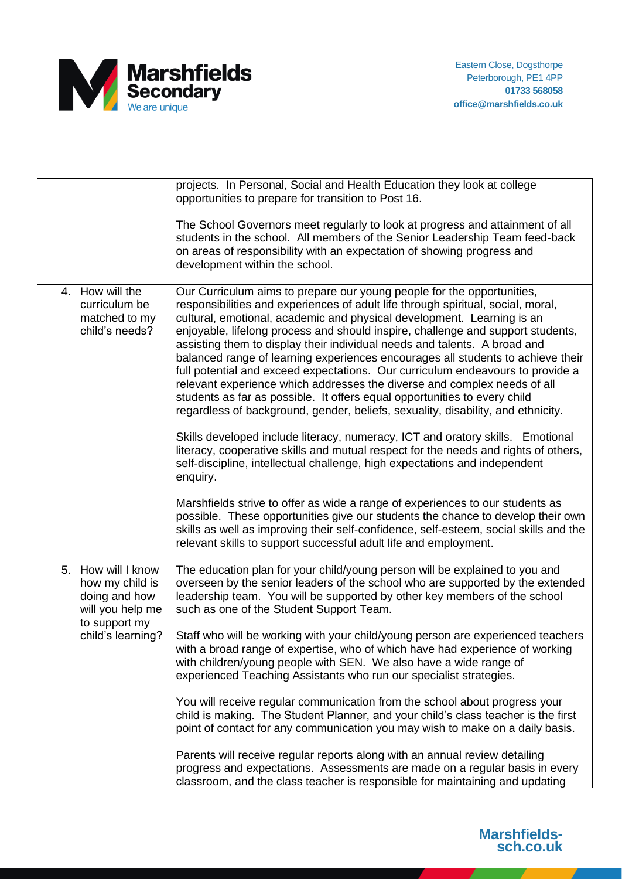

|                                                                                                                     | projects. In Personal, Social and Health Education they look at college<br>opportunities to prepare for transition to Post 16.<br>The School Governors meet regularly to look at progress and attainment of all<br>students in the school. All members of the Senior Leadership Team feed-back<br>on areas of responsibility with an expectation of showing progress and<br>development within the school.                                                                                                                                                                                                                                                                                                                                                                                                                                                                                                                             |
|---------------------------------------------------------------------------------------------------------------------|----------------------------------------------------------------------------------------------------------------------------------------------------------------------------------------------------------------------------------------------------------------------------------------------------------------------------------------------------------------------------------------------------------------------------------------------------------------------------------------------------------------------------------------------------------------------------------------------------------------------------------------------------------------------------------------------------------------------------------------------------------------------------------------------------------------------------------------------------------------------------------------------------------------------------------------|
| 4. How will the<br>curriculum be<br>matched to my<br>child's needs?                                                 | Our Curriculum aims to prepare our young people for the opportunities,<br>responsibilities and experiences of adult life through spiritual, social, moral,<br>cultural, emotional, academic and physical development. Learning is an<br>enjoyable, lifelong process and should inspire, challenge and support students,<br>assisting them to display their individual needs and talents. A broad and<br>balanced range of learning experiences encourages all students to achieve their<br>full potential and exceed expectations. Our curriculum endeavours to provide a<br>relevant experience which addresses the diverse and complex needs of all<br>students as far as possible. It offers equal opportunities to every child<br>regardless of background, gender, beliefs, sexuality, disability, and ethnicity.                                                                                                                 |
|                                                                                                                     | Skills developed include literacy, numeracy, ICT and oratory skills. Emotional<br>literacy, cooperative skills and mutual respect for the needs and rights of others,<br>self-discipline, intellectual challenge, high expectations and independent<br>enquiry.<br>Marshfields strive to offer as wide a range of experiences to our students as<br>possible. These opportunities give our students the chance to develop their own<br>skills as well as improving their self-confidence, self-esteem, social skills and the<br>relevant skills to support successful adult life and employment.                                                                                                                                                                                                                                                                                                                                       |
| How will I know<br>5.<br>how my child is<br>doing and how<br>will you help me<br>to support my<br>child's learning? | The education plan for your child/young person will be explained to you and<br>overseen by the senior leaders of the school who are supported by the extended<br>leadership team. You will be supported by other key members of the school<br>such as one of the Student Support Team.<br>Staff who will be working with your child/young person are experienced teachers<br>with a broad range of expertise, who of which have had experience of working<br>with children/young people with SEN. We also have a wide range of<br>experienced Teaching Assistants who run our specialist strategies.<br>You will receive regular communication from the school about progress your<br>child is making. The Student Planner, and your child's class teacher is the first<br>point of contact for any communication you may wish to make on a daily basis.<br>Parents will receive regular reports along with an annual review detailing |
|                                                                                                                     | progress and expectations. Assessments are made on a regular basis in every<br>classroom, and the class teacher is responsible for maintaining and updating                                                                                                                                                                                                                                                                                                                                                                                                                                                                                                                                                                                                                                                                                                                                                                            |

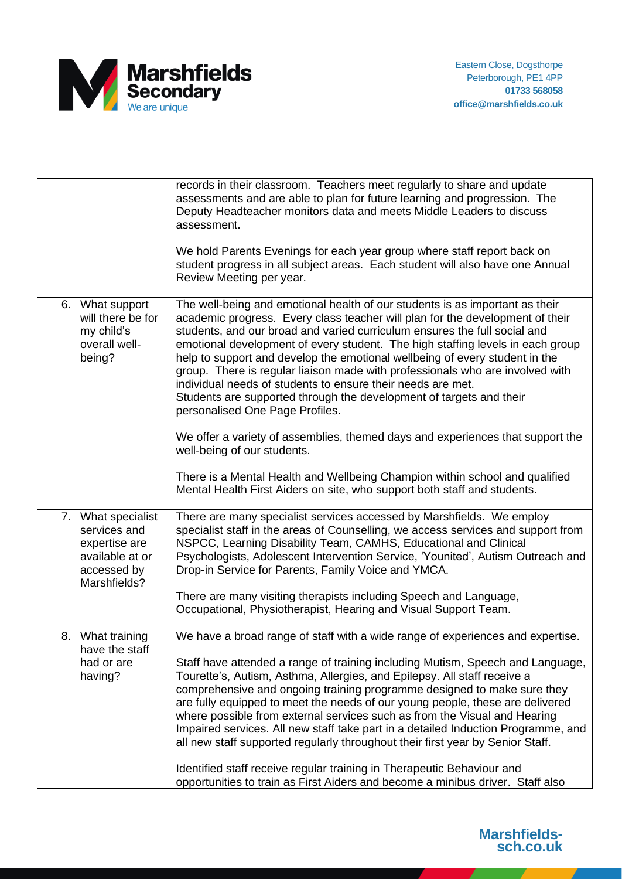

|                                                                                                       | records in their classroom. Teachers meet regularly to share and update<br>assessments and are able to plan for future learning and progression. The<br>Deputy Headteacher monitors data and meets Middle Leaders to discuss<br>assessment.                                                                                                                                                                                                                                                                                                                                                                                                                           |
|-------------------------------------------------------------------------------------------------------|-----------------------------------------------------------------------------------------------------------------------------------------------------------------------------------------------------------------------------------------------------------------------------------------------------------------------------------------------------------------------------------------------------------------------------------------------------------------------------------------------------------------------------------------------------------------------------------------------------------------------------------------------------------------------|
|                                                                                                       | We hold Parents Evenings for each year group where staff report back on<br>student progress in all subject areas. Each student will also have one Annual<br>Review Meeting per year.                                                                                                                                                                                                                                                                                                                                                                                                                                                                                  |
| 6. What support<br>will there be for<br>my child's<br>overall well-<br>being?                         | The well-being and emotional health of our students is as important as their<br>academic progress. Every class teacher will plan for the development of their<br>students, and our broad and varied curriculum ensures the full social and<br>emotional development of every student. The high staffing levels in each group<br>help to support and develop the emotional wellbeing of every student in the<br>group. There is regular liaison made with professionals who are involved with<br>individual needs of students to ensure their needs are met.<br>Students are supported through the development of targets and their<br>personalised One Page Profiles. |
|                                                                                                       | We offer a variety of assemblies, themed days and experiences that support the<br>well-being of our students.                                                                                                                                                                                                                                                                                                                                                                                                                                                                                                                                                         |
|                                                                                                       | There is a Mental Health and Wellbeing Champion within school and qualified<br>Mental Health First Aiders on site, who support both staff and students.                                                                                                                                                                                                                                                                                                                                                                                                                                                                                                               |
| 7. What specialist<br>services and<br>expertise are<br>available at or<br>accessed by<br>Marshfields? | There are many specialist services accessed by Marshfields. We employ<br>specialist staff in the areas of Counselling, we access services and support from<br>NSPCC, Learning Disability Team, CAMHS, Educational and Clinical<br>Psychologists, Adolescent Intervention Service, 'Younited', Autism Outreach and<br>Drop-in Service for Parents, Family Voice and YMCA.                                                                                                                                                                                                                                                                                              |
|                                                                                                       | There are many visiting therapists including Speech and Language,<br>Occupational, Physiotherapist, Hearing and Visual Support Team.                                                                                                                                                                                                                                                                                                                                                                                                                                                                                                                                  |
| 8. What training<br>have the staff<br>had or are<br>having?                                           | We have a broad range of staff with a wide range of experiences and expertise.<br>Staff have attended a range of training including Mutism, Speech and Language,<br>Tourette's, Autism, Asthma, Allergies, and Epilepsy. All staff receive a<br>comprehensive and ongoing training programme designed to make sure they<br>are fully equipped to meet the needs of our young people, these are delivered<br>where possible from external services such as from the Visual and Hearing<br>Impaired services. All new staff take part in a detailed Induction Programme, and                                                                                            |
|                                                                                                       | all new staff supported regularly throughout their first year by Senior Staff.<br>Identified staff receive regular training in Therapeutic Behaviour and<br>opportunities to train as First Aiders and become a minibus driver. Staff also                                                                                                                                                                                                                                                                                                                                                                                                                            |

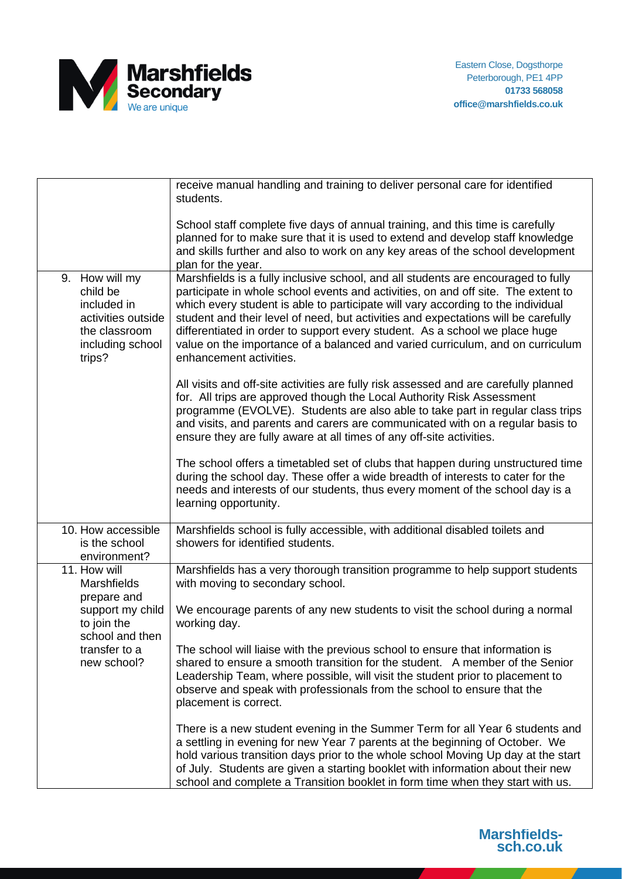

|                                                                                                                | receive manual handling and training to deliver personal care for identified<br>students.                                                                                                                                                                                                                                                                                                                                                                                                                                                    |
|----------------------------------------------------------------------------------------------------------------|----------------------------------------------------------------------------------------------------------------------------------------------------------------------------------------------------------------------------------------------------------------------------------------------------------------------------------------------------------------------------------------------------------------------------------------------------------------------------------------------------------------------------------------------|
|                                                                                                                | School staff complete five days of annual training, and this time is carefully<br>planned for to make sure that it is used to extend and develop staff knowledge<br>and skills further and also to work on any key areas of the school development<br>plan for the year.                                                                                                                                                                                                                                                                     |
| 9. How will my<br>child be<br>included in<br>activities outside<br>the classroom<br>including school<br>trips? | Marshfields is a fully inclusive school, and all students are encouraged to fully<br>participate in whole school events and activities, on and off site. The extent to<br>which every student is able to participate will vary according to the individual<br>student and their level of need, but activities and expectations will be carefully<br>differentiated in order to support every student. As a school we place huge<br>value on the importance of a balanced and varied curriculum, and on curriculum<br>enhancement activities. |
|                                                                                                                | All visits and off-site activities are fully risk assessed and are carefully planned<br>for. All trips are approved though the Local Authority Risk Assessment<br>programme (EVOLVE). Students are also able to take part in regular class trips<br>and visits, and parents and carers are communicated with on a regular basis to<br>ensure they are fully aware at all times of any off-site activities.                                                                                                                                   |
|                                                                                                                | The school offers a timetabled set of clubs that happen during unstructured time<br>during the school day. These offer a wide breadth of interests to cater for the<br>needs and interests of our students, thus every moment of the school day is a<br>learning opportunity.                                                                                                                                                                                                                                                                |
| 10. How accessible<br>is the school<br>environment?                                                            | Marshfields school is fully accessible, with additional disabled toilets and<br>showers for identified students.                                                                                                                                                                                                                                                                                                                                                                                                                             |
| 11. How will<br><b>Marshfields</b><br>prepare and                                                              | Marshfields has a very thorough transition programme to help support students<br>with moving to secondary school.                                                                                                                                                                                                                                                                                                                                                                                                                            |
| support my child<br>to join the<br>school and then                                                             | We encourage parents of any new students to visit the school during a normal<br>working day.                                                                                                                                                                                                                                                                                                                                                                                                                                                 |
| transfer to a<br>new school?                                                                                   | The school will liaise with the previous school to ensure that information is<br>shared to ensure a smooth transition for the student. A member of the Senior<br>Leadership Team, where possible, will visit the student prior to placement to<br>observe and speak with professionals from the school to ensure that the<br>placement is correct.                                                                                                                                                                                           |
|                                                                                                                | There is a new student evening in the Summer Term for all Year 6 students and<br>a settling in evening for new Year 7 parents at the beginning of October. We<br>hold various transition days prior to the whole school Moving Up day at the start<br>of July. Students are given a starting booklet with information about their new<br>school and complete a Transition booklet in form time when they start with us.                                                                                                                      |

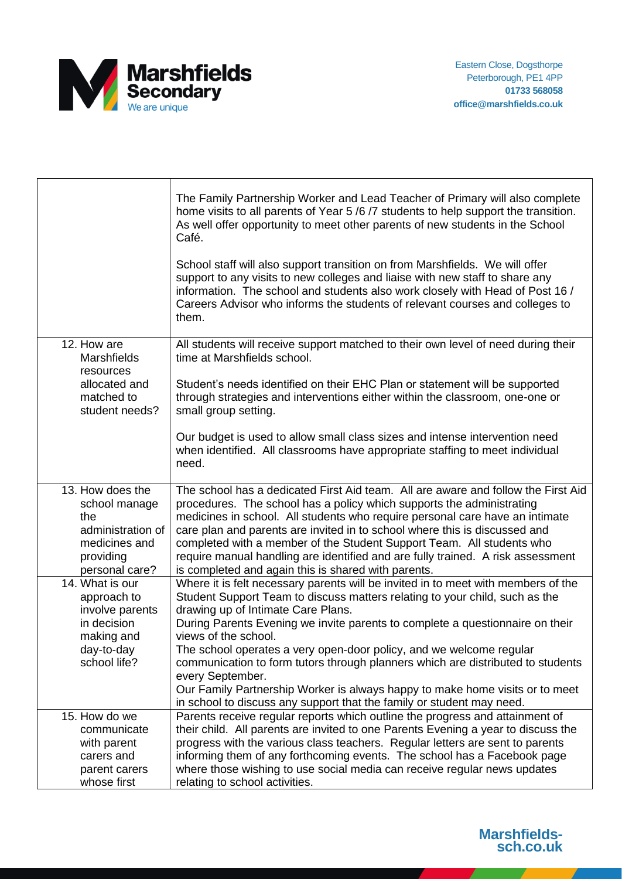

|                                                                                                               | The Family Partnership Worker and Lead Teacher of Primary will also complete<br>home visits to all parents of Year 5/6/7 students to help support the transition.<br>As well offer opportunity to meet other parents of new students in the School<br>Café.<br>School staff will also support transition on from Marshfields. We will offer<br>support to any visits to new colleges and liaise with new staff to share any<br>information. The school and students also work closely with Head of Post 16 /<br>Careers Advisor who informs the students of relevant courses and colleges to<br>them.                                                  |
|---------------------------------------------------------------------------------------------------------------|--------------------------------------------------------------------------------------------------------------------------------------------------------------------------------------------------------------------------------------------------------------------------------------------------------------------------------------------------------------------------------------------------------------------------------------------------------------------------------------------------------------------------------------------------------------------------------------------------------------------------------------------------------|
| 12. How are<br><b>Marshfields</b><br>resources<br>allocated and<br>matched to<br>student needs?               | All students will receive support matched to their own level of need during their<br>time at Marshfields school.<br>Student's needs identified on their EHC Plan or statement will be supported<br>through strategies and interventions either within the classroom, one-one or<br>small group setting.                                                                                                                                                                                                                                                                                                                                                |
|                                                                                                               | Our budget is used to allow small class sizes and intense intervention need<br>when identified. All classrooms have appropriate staffing to meet individual<br>need.                                                                                                                                                                                                                                                                                                                                                                                                                                                                                   |
| 13. How does the<br>school manage<br>the<br>administration of<br>medicines and<br>providing<br>personal care? | The school has a dedicated First Aid team. All are aware and follow the First Aid<br>procedures. The school has a policy which supports the administrating<br>medicines in school. All students who require personal care have an intimate<br>care plan and parents are invited in to school where this is discussed and<br>completed with a member of the Student Support Team. All students who<br>require manual handling are identified and are fully trained. A risk assessment<br>is completed and again this is shared with parents.                                                                                                            |
| 14. What is our<br>approach to<br>involve parents<br>in decision<br>making and<br>day-to-day<br>school life?  | Where it is felt necessary parents will be invited in to meet with members of the<br>Student Support Team to discuss matters relating to your child, such as the<br>drawing up of Intimate Care Plans.<br>During Parents Evening we invite parents to complete a questionnaire on their<br>views of the school.<br>The school operates a very open-door policy, and we welcome regular<br>communication to form tutors through planners which are distributed to students<br>every September.<br>Our Family Partnership Worker is always happy to make home visits or to meet<br>in school to discuss any support that the family or student may need. |
| 15. How do we<br>communicate<br>with parent<br>carers and<br>parent carers<br>whose first                     | Parents receive regular reports which outline the progress and attainment of<br>their child. All parents are invited to one Parents Evening a year to discuss the<br>progress with the various class teachers. Regular letters are sent to parents<br>informing them of any forthcoming events. The school has a Facebook page<br>where those wishing to use social media can receive regular news updates<br>relating to school activities.                                                                                                                                                                                                           |